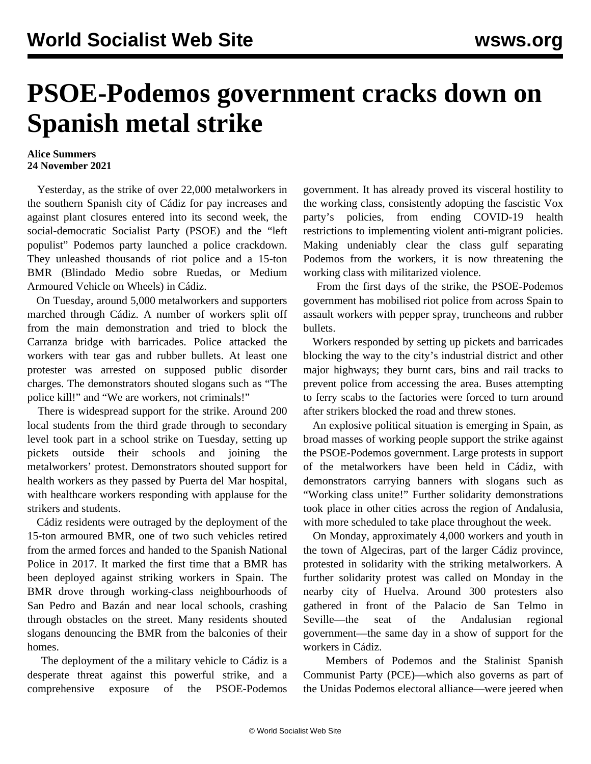## **PSOE-Podemos government cracks down on Spanish metal strike**

## **Alice Summers 24 November 2021**

 Yesterday, as the strike of over 22,000 metalworkers in the southern Spanish city of Cádiz for pay increases and against plant closures entered into its second week, the social-democratic Socialist Party (PSOE) and the "left populist" Podemos party launched a police crackdown. They unleashed thousands of riot police and a 15-ton BMR (Blindado Medio sobre Ruedas, or Medium Armoured Vehicle on Wheels) in Cádiz.

 On Tuesday, around 5,000 metalworkers and supporters marched through Cádiz. A number of workers split off from the main demonstration and tried to block the Carranza bridge with barricades. Police attacked the workers with tear gas and rubber bullets. At least one protester was arrested on supposed public disorder charges. The demonstrators shouted slogans such as "The police kill!" and "We are workers, not criminals!"

 There is widespread support for the strike. Around 200 local students from the third grade through to secondary level took part in a school strike on Tuesday, setting up pickets outside their schools and joining the metalworkers' protest. Demonstrators shouted support for health workers as they passed by Puerta del Mar hospital, with healthcare workers responding with applause for the strikers and students.

 Cádiz residents were outraged by the deployment of the 15-ton armoured BMR, one of two such vehicles retired from the armed forces and handed to the Spanish National Police in 2017. It marked the first time that a BMR has been deployed against striking workers in Spain. The BMR drove through working-class neighbourhoods of San Pedro and Bazán and near local schools, crashing through obstacles on the street. Many residents shouted slogans denouncing the BMR from the balconies of their homes.

 The deployment of the a military vehicle to Cádiz is a desperate threat against this powerful strike, and a comprehensive exposure of the PSOE-Podemos

government. It has already proved its visceral hostility to the working class, consistently adopting the fascistic Vox party's policies, from ending COVID-19 health [restrictions](/en/articles/2021/01/18/pode-j18.html) to implementing violent [anti-migrant](/en/articles/2021/02/11/cana-f11.html) policies. Making undeniably clear the class gulf separating Podemos from the workers, it is now threatening the working class with militarized violence.

 From the first days of the strike, the PSOE-Podemos government has mobilised riot police from across Spain to assault workers with pepper spray, truncheons and rubber bullets.

 Workers responded by setting up pickets and barricades blocking the way to the city's industrial district and other major highways; they burnt cars, bins and rail tracks to prevent police from accessing the area. Buses attempting to ferry scabs to the factories were forced to turn around after strikers blocked the road and threw stones.

 An explosive political situation is emerging in Spain, as broad masses of working people support the strike against the PSOE-Podemos government. Large protests in support of the metalworkers have been held in Cádiz, with demonstrators carrying banners with slogans such as "Working class unite!" Further solidarity demonstrations took place in other cities across the region of Andalusia, with more scheduled to take place throughout the week.

 On Monday, approximately 4,000 workers and youth in the town of Algeciras, part of the larger Cádiz province, protested in solidarity with the striking metalworkers. A further solidarity protest was called on Monday in the nearby city of Huelva. Around 300 protesters also gathered in front of the Palacio de San Telmo in Seville—the seat of the Andalusian regional government—the same day in a show of support for the workers in Cádiz.

 Members of Podemos and the Stalinist Spanish Communist Party (PCE)—which also governs as part of the Unidas Podemos electoral alliance—were jeered when